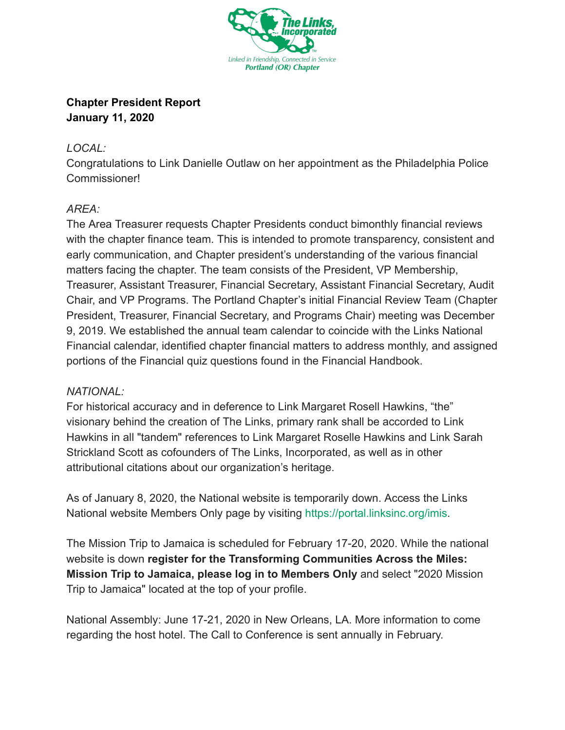

## **Chapter President Report January 11, 2020**

## *LOCAL:*

Congratulations to Link Danielle Outlaw on her appointment as the Philadelphia Police Commissioner!

## *AREA:*

The Area Treasurer requests Chapter Presidents conduct bimonthly financial reviews with the chapter finance team. This is intended to promote transparency, consistent and early communication, and Chapter president's understanding of the various financial matters facing the chapter. The team consists of the President, VP Membership, Treasurer, Assistant Treasurer, Financial Secretary, Assistant Financial Secretary, Audit Chair, and VP Programs. The Portland Chapter's initial Financial Review Team (Chapter President, Treasurer, Financial Secretary, and Programs Chair) meeting was December 9, 2019. We established the annual team calendar to coincide with the Links National Financial calendar, identified chapter financial matters to address monthly, and assigned portions of the Financial quiz questions found in the Financial Handbook.

## *NATIONAL:*

For historical accuracy and in deference to Link Margaret Rosell Hawkins, "the" visionary behind the creation of The Links, primary rank shall be accorded to Link Hawkins in all "tandem" references to Link Margaret Roselle Hawkins and Link Sarah Strickland Scott as cofounders of The Links, Incorporated, as well as in other attributional citations about our organization's heritage.

As of January 8, 2020, the National website is temporarily down. Access the Links National website Members Only page by visiting [https://portal.linksinc.org/imis](http://linksinc.informz.net/z/cjUucD9taT05MDQ3MzkxJnA9MSZ1PTEwMTIzNTg5NTAmbGk9NzI4ODA2OTg/index.html) .

The Mission Trip to Jamaica is scheduled for February 17-20, 2020. While the national website is down **register for the Transforming Communities Across the Miles: Mission Trip to Jamaica, please log in to Members Only** and select "2020 Mission Trip to Jamaica" located at the top of your profile.

National Assembly: June 17-21, 2020 in New Orleans, LA. More information to come regarding the host hotel. The Call to Conference is sent annually in February.